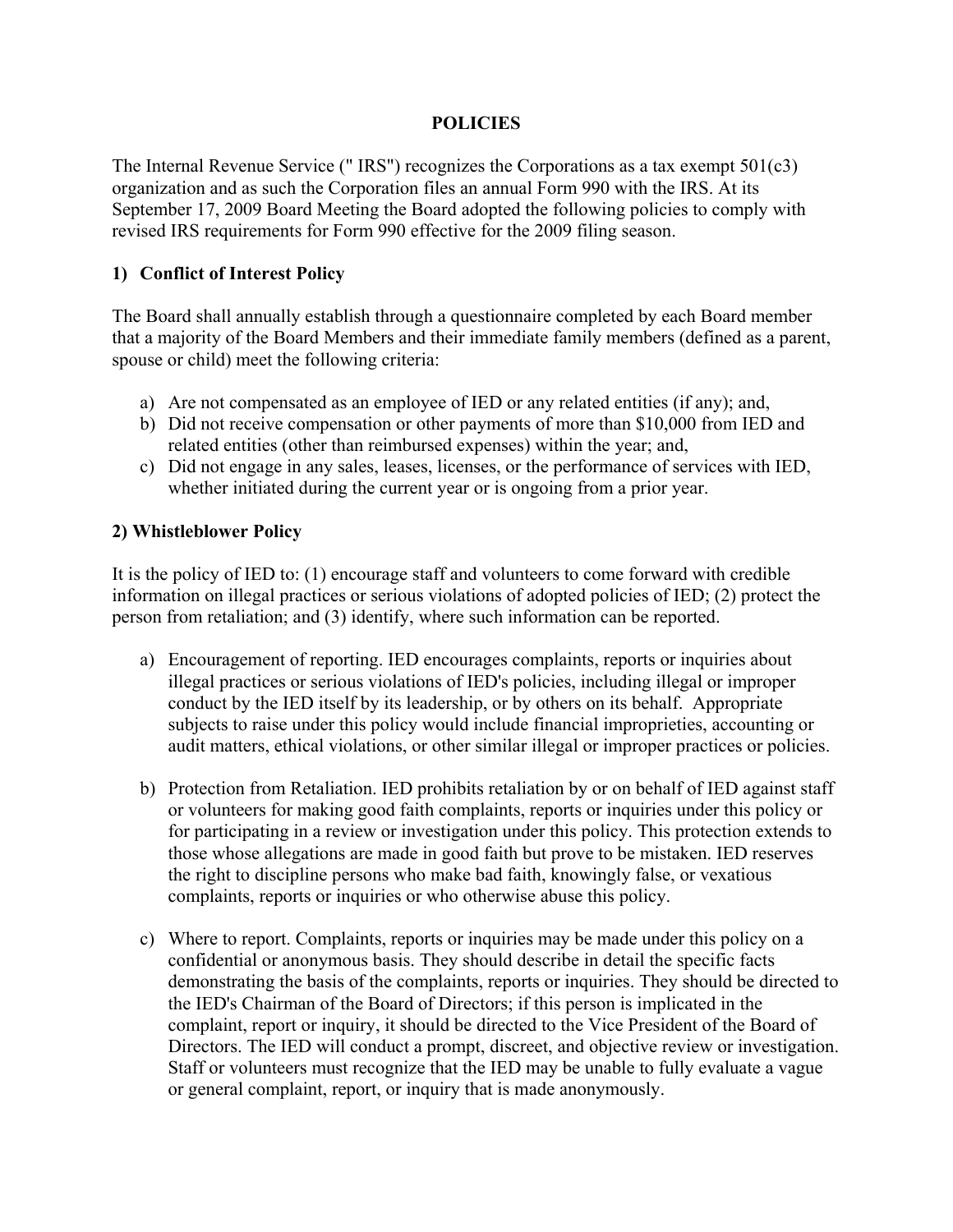### **POLICIES**

The Internal Revenue Service (" IRS") recognizes the Corporations as a tax exempt 501(c3) organization and as such the Corporation files an annual Form 990 with the IRS. At its September 17, 2009 Board Meeting the Board adopted the following policies to comply with revised IRS requirements for Form 990 effective for the 2009 filing season.

## **1) Conflict of Interest Policy**

The Board shall annually establish through a questionnaire completed by each Board member that a majority of the Board Members and their immediate family members (defined as a parent, spouse or child) meet the following criteria:

- a) Are not compensated as an employee of IED or any related entities (if any); and,
- b) Did not receive compensation or other payments of more than \$10,000 from IED and related entities (other than reimbursed expenses) within the year; and,
- c) Did not engage in any sales, leases, licenses, or the performance of services with IED, whether initiated during the current year or is ongoing from a prior year.

### **2) Whistleblower Policy**

It is the policy of IED to: (1) encourage staff and volunteers to come forward with credible information on illegal practices or serious violations of adopted policies of IED; (2) protect the person from retaliation; and (3) identify, where such information can be reported.

- a) Encouragement of reporting. IED encourages complaints, reports or inquiries about illegal practices or serious violations of IED's policies, including illegal or improper conduct by the IED itself by its leadership, or by others on its behalf. Appropriate subjects to raise under this policy would include financial improprieties, accounting or audit matters, ethical violations, or other similar illegal or improper practices or policies.
- b) Protection from Retaliation. IED prohibits retaliation by or on behalf of IED against staff or volunteers for making good faith complaints, reports or inquiries under this policy or for participating in a review or investigation under this policy. This protection extends to those whose allegations are made in good faith but prove to be mistaken. IED reserves the right to discipline persons who make bad faith, knowingly false, or vexatious complaints, reports or inquiries or who otherwise abuse this policy.
- c) Where to report. Complaints, reports or inquiries may be made under this policy on a confidential or anonymous basis. They should describe in detail the specific facts demonstrating the basis of the complaints, reports or inquiries. They should be directed to the IED's Chairman of the Board of Directors; if this person is implicated in the complaint, report or inquiry, it should be directed to the Vice President of the Board of Directors. The IED will conduct a prompt, discreet, and objective review or investigation. Staff or volunteers must recognize that the IED may be unable to fully evaluate a vague or general complaint, report, or inquiry that is made anonymously.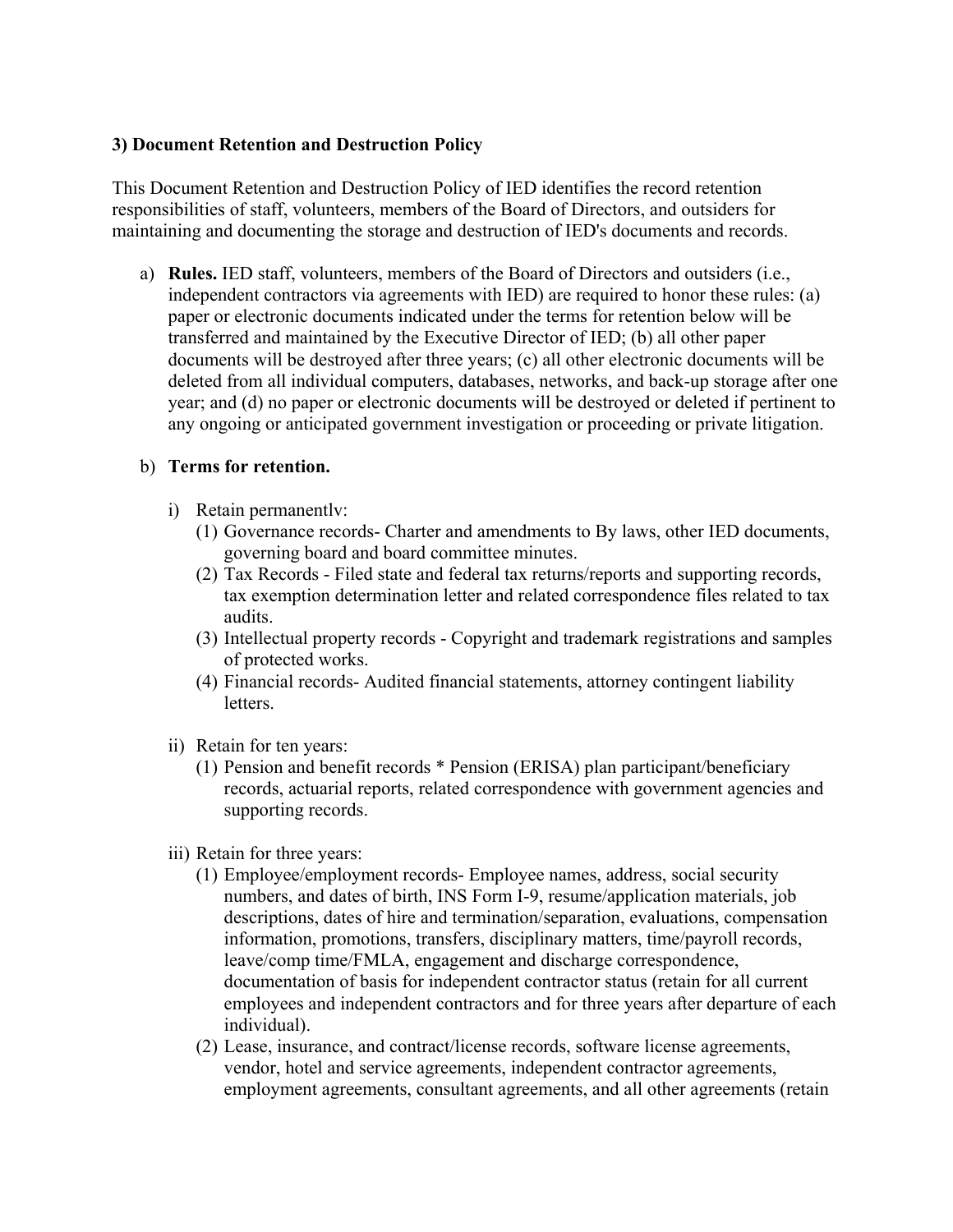## **3) Document Retention and Destruction Policy**

This Document Retention and Destruction Policy of IED identifies the record retention responsibilities of staff, volunteers, members of the Board of Directors, and outsiders for maintaining and documenting the storage and destruction of IED's documents and records.

a) **Rules.** IED staff, volunteers, members of the Board of Directors and outsiders (i.e., independent contractors via agreements with IED) are required to honor these rules: (a) paper or electronic documents indicated under the terms for retention below will be transferred and maintained by the Executive Director of IED; (b) all other paper documents will be destroyed after three years; (c) all other electronic documents will be deleted from all individual computers, databases, networks, and back-up storage after one year; and (d) no paper or electronic documents will be destroyed or deleted if pertinent to any ongoing or anticipated government investigation or proceeding or private litigation.

### b) **Terms for retention.**

- i) Retain permanentlv:
	- (1) Governance records- Charter and amendments to By laws, other IED documents, governing board and board committee minutes.
	- (2) Tax Records Filed state and federal tax returns/reports and supporting records, tax exemption determination letter and related correspondence files related to tax audits.
	- (3) Intellectual property records Copyright and trademark registrations and samples of protected works.
	- (4) Financial records- Audited financial statements, attorney contingent liability letters.
- ii) Retain for ten years:
	- (1) Pension and benefit records \* Pension (ERISA) plan participant/beneficiary records, actuarial reports, related correspondence with government agencies and supporting records.
- iii) Retain for three years:
	- (1) Employee/employment records- Employee names, address, social security numbers, and dates of birth, INS Form I-9, resume/application materials, job descriptions, dates of hire and termination/separation, evaluations, compensation information, promotions, transfers, disciplinary matters, time/payroll records, leave/comp time/FMLA, engagement and discharge correspondence, documentation of basis for independent contractor status (retain for all current employees and independent contractors and for three years after departure of each individual).
	- (2) Lease, insurance, and contract/license records, software license agreements, vendor, hotel and service agreements, independent contractor agreements, employment agreements, consultant agreements, and all other agreements (retain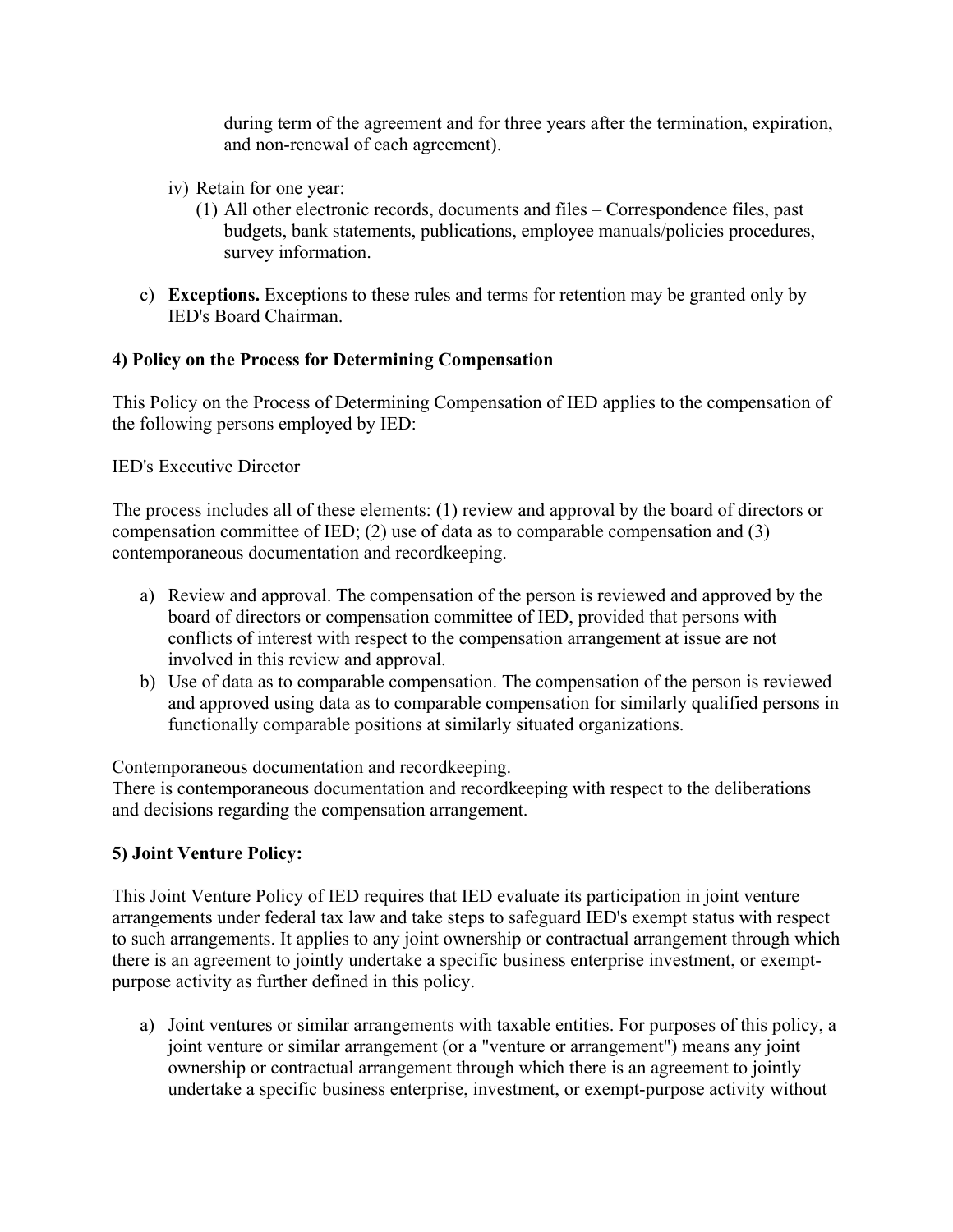during term of the agreement and for three years after the termination, expiration, and non-renewal of each agreement).

- iv) Retain for one year:
	- (1) All other electronic records, documents and files Correspondence files, past budgets, bank statements, publications, employee manuals/policies procedures, survey information.
- c) **Exceptions.** Exceptions to these rules and terms for retention may be granted only by IED's Board Chairman.

# **4) Policy on the Process for Determining Compensation**

This Policy on the Process of Determining Compensation of IED applies to the compensation of the following persons employed by IED:

#### IED's Executive Director

The process includes all of these elements: (1) review and approval by the board of directors or compensation committee of IED; (2) use of data as to comparable compensation and (3) contemporaneous documentation and recordkeeping.

- a) Review and approval. The compensation of the person is reviewed and approved by the board of directors or compensation committee of IED, provided that persons with conflicts of interest with respect to the compensation arrangement at issue are not involved in this review and approval.
- b) Use of data as to comparable compensation. The compensation of the person is reviewed and approved using data as to comparable compensation for similarly qualified persons in functionally comparable positions at similarly situated organizations.

Contemporaneous documentation and recordkeeping.

There is contemporaneous documentation and recordkeeping with respect to the deliberations and decisions regarding the compensation arrangement.

# **5) Joint Venture Policy:**

This Joint Venture Policy of IED requires that IED evaluate its participation in joint venture arrangements under federal tax law and take steps to safeguard IED's exempt status with respect to such arrangements. It applies to any joint ownership or contractual arrangement through which there is an agreement to jointly undertake a specific business enterprise investment, or exemptpurpose activity as further defined in this policy.

a) Joint ventures or similar arrangements with taxable entities. For purposes of this policy, a joint venture or similar arrangement (or a "venture or arrangement") means any joint ownership or contractual arrangement through which there is an agreement to jointly undertake a specific business enterprise, investment, or exempt-purpose activity without